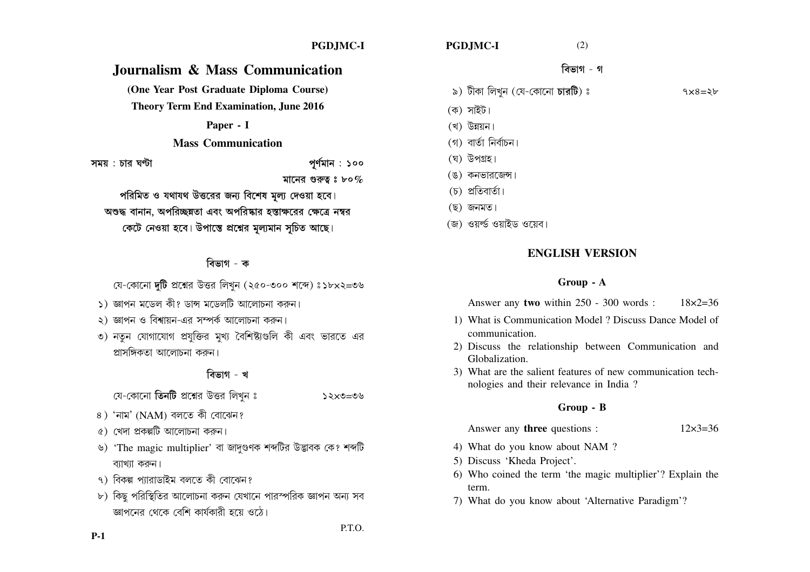|                                                     | <b>PGDJMC-I</b>         | <b>PGDJMC-I</b>      |
|-----------------------------------------------------|-------------------------|----------------------|
| Journalism & Mass Communication                     |                         |                      |
| (One Year Post Graduate Diploma Course)             |                         | ৯) টীকা লিখুন (যে-কো |
| <b>Theory Term End Examination, June 2016</b>       |                         | (ক) সাইট।            |
| Paper - I                                           |                         | (খ) উন্নয়ন।         |
| <b>Mass Communication</b>                           |                         | (গ) বাৰ্তা নিৰ্বাচন। |
| : চার ঘণ্টা                                         | পূর্ণমান : ১০০          | (ঘ) উপগ্ৰহ।          |
|                                                     | মানের গুরুত্ব ঃ ৮০ $\%$ | (ঙ) কনভারজেন্স।      |
| পরিমিত ও যথাযথ উত্তরের জন্য বিশেষ মূল্য দেওয়া হবে। |                         | (চ) প্ৰতিবাৰ্তা।     |
|                                                     |                         |                      |

পরিমিত ও যথাযথ উত্তরের জন্য বিশেষ মূল অশুদ্ধ বানান, অপরিচ্ছন্নতা এবং অপরিষ্কার হস্তাক্ষরের ক্ষেত্রে নম্বর কেটে নেওয়া হবে। উপান্তে প্রশ্নের মূল্যমান সূচিত আছে।

#### বিভাগ - ক

যে-কোনো **দুটি** প্রশ্নের উত্তর লিখন (২৫০-৩০০ শব্দে) ঃ১৮x২=৩৬

- ১) জ্ঞাপন মডেল কী? ডান্স মডেলটি আলোচনা করুন।
- ২) জ্ঞাপন ও বিশ্বায়ন-এর সম্পর্ক আলোচনা করুন।
- ৩) নতন যোগাযোগ প্রযক্তির মখ্য বৈশিষ্ট্যগুলি কী এবং ভারতে এর প্রাসঙ্গিকতা আলোচনা করুন।

বিভাগ - খ

যে-কোনো তিনটি প্রশ্নের উত্তর লিখুন ঃ  $90 = 0 \times 5$   $\zeta$ 

- ৪) 'নাম' (NAM) বলতে কী বোঝেন?
- ৫) খেদা প্রকল্পটি আলোচনা করুন।
- ৬) 'The magic multiplier' বা জাদুগুণক শব্দটির উদ্ভাবক কে? শব্দটি ব্যাখ্যা করুন।
- ৭) বিকল্প প্যারাডাইম বলতে কী বোঝেন?
- ৮) কিছ পরিস্থিতির আলোচনা করুন যেখানে পারস্পরিক জ্ঞাপন অন্য সব জ্ঞাপনের থেকে বেশি কার্যকারী হয়ে ওঠে।

P.T.O.

| বিভাগ - গ                                 |
|-------------------------------------------|
| ৯) টীকা লিখুন (যে-কোনো <b>চারটি</b> ) ঃ   |
| (ক) সাইট।                                 |
| (খ) উন্নয়ন।                              |
| (গ) বাৰ্তা নিৰ্বাচন।                      |
| (ঘ) উপগ্ৰহ।                               |
| (ঙ) কনভারজেন্স।                           |
| $\sim$ $\sim$ $\sim$ $\sim$ $\sim$ $\sim$ |

 $(2)$ 

 $9x8=5b$ 

- (ছ) জনমত।
- (জ) ওয়র্ল্ড ওয়াইড ওয়েব।

#### **ENGLISH VERSION**

#### $Group - A$

Answer any two within 250 - 300 words :  $18 \times 2 = 36$ 

- 1) What is Communication Model ? Discuss Dance Model of communication.
- 2) Discuss the relationship between Communication and Globalization.
- 3) What are the salient features of new communication technologies and their relevance in India?

#### $Group - B$

| Answer any <b>three</b> questions : | $12 \times 3 = 36$ |
|-------------------------------------|--------------------|
|-------------------------------------|--------------------|

- 4) What do you know about NAM ?
- 5) Discuss 'Kheda Project'.
- 6) Who coined the term 'the magic multiplier'? Explain the term.
- 7) What do you know about 'Alternative Paradigm'?

সময়: চার ঘণ্টা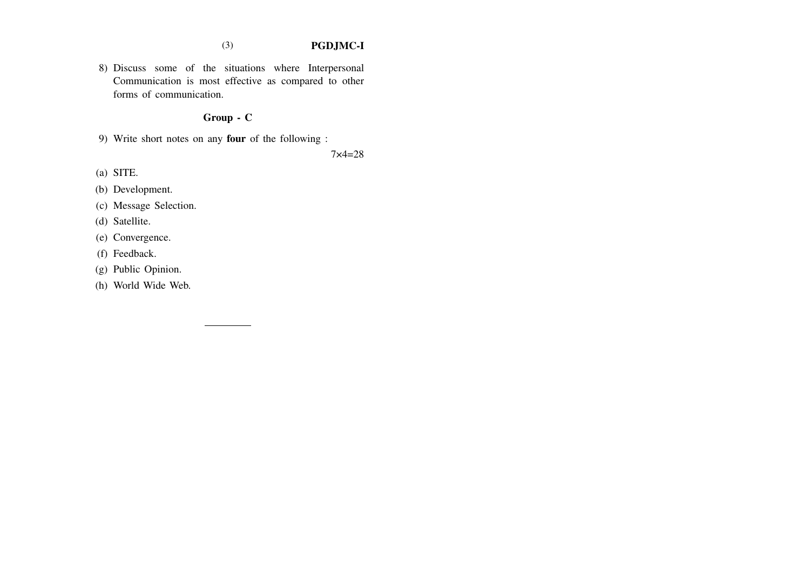#### (3) **PGDJMC-I**

8) Discuss some of the situations where Interpersonal Communication is most effective as compared to other forms of communication.

#### **Group - C**

9) Write short notes on any **four** of the following :

7×4=28

(a) SITE.

(b) Development.

(c) Message Selection.

(d) Satellite.

- (e) Convergence.
- (f) Feedback.
- (g) Public Opinion.
- (h) World Wide Web.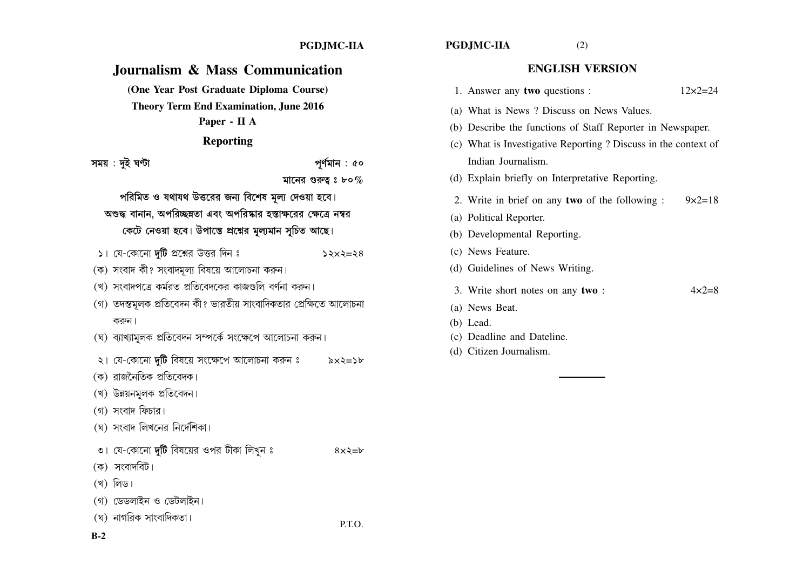|                                                                     | <b>PGDJMC-IIA</b>       | <b>PGDJMC-IIA</b><br>(2)                                             |  |  |
|---------------------------------------------------------------------|-------------------------|----------------------------------------------------------------------|--|--|
| Journalism & Mass Communication                                     |                         | <b>ENGLISH VERSION</b>                                               |  |  |
| (One Year Post Graduate Diploma Course)                             |                         | 1. Answer any two questions :<br>$12 \times 2 = 24$                  |  |  |
| <b>Theory Term End Examination, June 2016</b>                       |                         | (a) What is News ? Discuss on News Values.                           |  |  |
| Paper - II A                                                        |                         | (b) Describe the functions of Staff Reporter in Newspaper.           |  |  |
| <b>Reporting</b>                                                    |                         | (c) What is Investigative Reporting ? Discuss in the context of      |  |  |
| সময়: দুই ঘণ্টা                                                     | পূর্ণমান : ৫০           | Indian Journalism.                                                   |  |  |
|                                                                     | মানের গুরুত্ব ঃ ৮০ $\%$ | (d) Explain briefly on Interpretative Reporting.                     |  |  |
| পরিমিত ও যথাযথ উত্তরের জন্য বিশেষ মূল্য দেওয়া হবে।                 |                         | 2. Write in brief on any two of the following :<br>$9 \times 2 = 18$ |  |  |
| অশুদ্ধ বানান, অপরিচ্ছন্নতা এবং অপরিষ্কার হস্তাক্ষরের ক্ষেত্রে নম্বর |                         | (a) Political Reporter.                                              |  |  |
| কেটে নেওয়া হবে। উপান্তে প্রশ্নের মূল্যমান সূচিত আছে।               |                         | (b) Developmental Reporting.                                         |  |  |
| ১। যে-কোনো দুটি প্রশ্নের উত্তর দিন ঃ                                | $52x2=28$               | (c) News Feature.                                                    |  |  |
| (ক) সংবাদ কী? সংবাদমূল্য বিষয়ে আলোচনা করুন।                        |                         | (d) Guidelines of News Writing.                                      |  |  |
| (খ) সংবাদপত্রে কর্মরত প্রতিবেদকের কাজগুলি বর্ণনা করুন।              |                         |                                                                      |  |  |
| (গ) তদন্তমূলক প্রতিবেদন কী? ভারতীয় সাংবাদিকতার প্রেক্ষিতে আলোচনা   |                         | 3. Write short notes on any two:<br>$4 \times 2 = 8$                 |  |  |
| করুন।                                                               |                         | (a) News Beat.<br>(b) Lead.                                          |  |  |
| (ঘ) ব্যাখ্যামূলক প্রতিবেদন সম্পর্কে সংক্ষেপে আলোচনা করুন।           |                         | (c) Deadline and Dateline.                                           |  |  |
| ২। যে-কোনো <b>দুটি</b> বিষয়ে সংক্ষেপে আলোচনা করুন ঃ                | ৯×২=১৮                  | (d) Citizen Journalism.                                              |  |  |
| (ক) রাজনৈতিক প্রতিবেদক।                                             |                         |                                                                      |  |  |
| (খ) উন্নয়নমূলক প্রতিবেদন।                                          |                         |                                                                      |  |  |
| (গ) সংবাদ ফিচার।                                                    |                         |                                                                      |  |  |
| (ঘ) সংবাদ লিখনের নির্দেশিকা।                                        |                         |                                                                      |  |  |
| ৩। যে-কোনো দুটি বিষয়ের ওপর টীকা লিখুন ঃ                            | $8x$ २=৮                |                                                                      |  |  |
| (ক) সংবাদবিট।                                                       |                         |                                                                      |  |  |
| (খ) লিড।                                                            |                         |                                                                      |  |  |
| (গ) ডেডলাইন ও ডেটলাইন।                                              |                         |                                                                      |  |  |
| (ঘ) নাগরিক সাংবাদিকতা।                                              | P.T.O.                  |                                                                      |  |  |

 $B-2$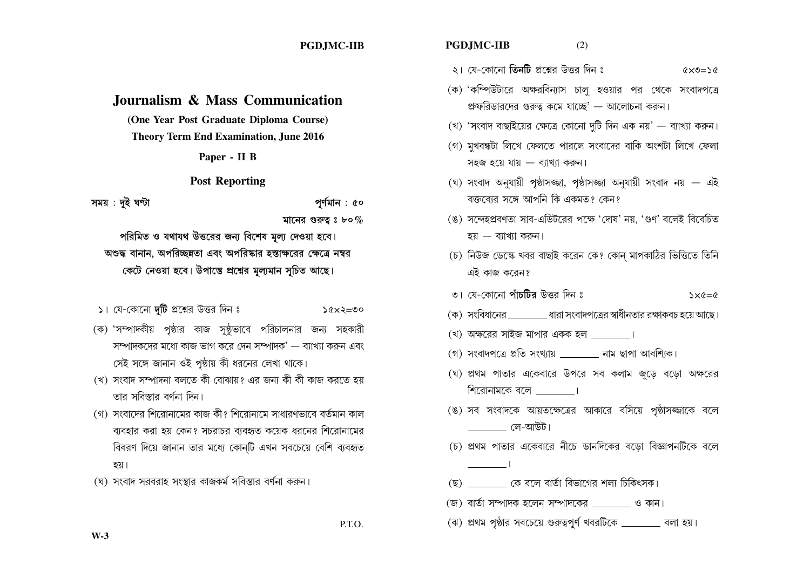|                                                                                                                                                                                                                                                                                                                                                                                                                                                                                                                                                                          | <b>PGDJMC-IIB</b>                        | <b>PGDJMC-IIB</b><br>(2)                                                                                                                                                                                                                                                                                                                                                                                                                                                                                                                                                                                            |
|--------------------------------------------------------------------------------------------------------------------------------------------------------------------------------------------------------------------------------------------------------------------------------------------------------------------------------------------------------------------------------------------------------------------------------------------------------------------------------------------------------------------------------------------------------------------------|------------------------------------------|---------------------------------------------------------------------------------------------------------------------------------------------------------------------------------------------------------------------------------------------------------------------------------------------------------------------------------------------------------------------------------------------------------------------------------------------------------------------------------------------------------------------------------------------------------------------------------------------------------------------|
|                                                                                                                                                                                                                                                                                                                                                                                                                                                                                                                                                                          |                                          | ২। যে-কোনো <b>তিনটি</b> প্রশ্নের উত্তর দিন ঃ<br>$\Diamond x \circ = \Diamond x \circ$                                                                                                                                                                                                                                                                                                                                                                                                                                                                                                                               |
| <b>Journalism &amp; Mass Communication</b>                                                                                                                                                                                                                                                                                                                                                                                                                                                                                                                               |                                          | (ক) 'কম্পিউটারে অক্ষরবিন্যাস চালু হওয়ার পর থেকে সংবাদপত্রে<br>প্রুফরিডারদের গুরুত্ব কমে যাচ্ছে' — আলোচনা করুন।                                                                                                                                                                                                                                                                                                                                                                                                                                                                                                     |
| (One Year Post Graduate Diploma Course)<br><b>Theory Term End Examination, June 2016</b><br>Paper - II B<br><b>Post Reporting</b><br>: দুই ঘণ্টা<br>পরিমিত ও যথাযথ উত্তরের জন্য বিশেষ মূল্য দেওয়া হবে।<br>াশুদ্ধ বানান, অপরিচ্ছন্নতা এবং অপরিষ্কার হস্তাক্ষরের ক্ষেত্রে নম্বর                                                                                                                                                                                                                                                                                           | পূর্ণমান : ৫০<br>মানের গুরুত্ব ঃ ৮০ $\%$ | (খ) 'সংবাদ বাছাইয়ের ক্ষেত্রে কোনো দুটি দিন এক নয়' — ব্যাখ্যা করুন।<br>(গ) মুখবন্ধটা লিখে ফেলতে পারলে সংবাদের বাকি অংশটা লিখে ফেলা<br>সহজ হয়ে যায় – ব্যাখ্যা করুন।<br>(ঘ) সংবাদ অনুযায়ী পৃষ্ঠাসজ্জা, পৃষ্ঠাসজ্জা অনুযায়ী সংবাদ নয় — এই<br>বক্তব্যের সঙ্গে আপনি কি একমত? কেন?<br>(ঙ) সন্দেহপ্রবণতা সাব-এডিটরের পক্ষে 'দোষ' নয়, 'গুণ' বলেই বিবেচিত<br>হয় – ব্যাখ্যা করুন।<br>(চ) নিউজ ডেস্কে খবর বাছাই করেন কে? কোন্ মাপকাঠির ভিত্তিতে তিনি                                                                                                                                                                   |
| কেটে নেওয়া হবে। উপান্তে প্রশ্নের মূল্যমান সূচিত আছে।                                                                                                                                                                                                                                                                                                                                                                                                                                                                                                                    |                                          | এই কাজ করেন?                                                                                                                                                                                                                                                                                                                                                                                                                                                                                                                                                                                                        |
| যে-কোনো <b>দুটি</b> প্রশ্নের উত্তর দিন ঃ<br>'সম্পাদকীয় পৃষ্ঠার কাজ সুষ্ঠুভাবে পরিচালনার জন্য সহকারী<br>সম্পাদকদের মধ্যে কাজ ভাগ করে দেন সম্পাদক' — ব্যাখ্যা করুন এবং<br>সেই সঙ্গে জানান ওই পৃষ্ঠায় কী ধরনের লেখা থাকে।<br>সংবাদ সম্পাদনা বলতে কী বোঝায়? এর জন্য কী কী কাজ করতে হয়<br>তার সবিস্তার বর্ণনা দিন।<br>সংবাদের শিরোনামের কাজ কী? শিরোনামে সাধারণভাবে বর্তমান কাল<br>ব্যবহার করা হয় কেন? সচরাচর ব্যবহৃত কয়েক ধরনের শিরোনামের<br>বিবরণ দিয়ে জানান তার মধ্যে কোন্টি এখন সবচেয়ে বেশি ব্যবহৃত<br>হয়।<br>সংবাদ সরবরাহ সংস্থার কাজকর্ম সবিস্তার বর্ণনা করুন। | > ৫×২=•                                  | ৩। যে-কোনো পাঁচটির উত্তর দিন ঃ<br>$x \in \mathbb{C}$<br>(ক) সংবিধানের ________ ধারা সংবাদপত্রের স্বাধীনতার রক্ষাকবচ হয়ে আছে।<br>(খ) অক্ষরের সাইজ মাপার একক হল ________।<br>(গ) সংবাদপত্রে প্রতি সংখ্যায় ________ নাম ছাপা আবশ্যিক।<br>(ঘ) প্রথম পাতার একেবারে উপরে সব কলাম জুড়ে বড়ো অক্ষরের<br>শিরোনামকে বলে $\frac{\phantom{1}}{2}$ ।<br>(ঙ) সব সংবাদকে আয়তক্ষেত্রের আকারে বসিয়ে পৃষ্ঠাসজ্জাকে বলে<br>________ লে-আউট।<br>(চ) প্রথম পাতার একেবারে নীচে ডানদিকের বড়ো বিজ্ঞাপনটিকে বলে<br>$(\overline{z})$ _________ কে বলে বার্তা বিভাগের শল্য চিকিৎসক।<br>(জ) বার্তা সম্পাদক হলেন সম্পাদকের ________ ও কান। |
|                                                                                                                                                                                                                                                                                                                                                                                                                                                                                                                                                                          | P.T.O.                                   | (ঝ) প্রথম পৃষ্ঠার সবচেয়ে গুরুত্বপূর্ণ খবরটিকে _______ বলা হয়।                                                                                                                                                                                                                                                                                                                                                                                                                                                                                                                                                     |

সময়: দুই ঘণ্টা

- ১। যে-কোনো দুটি প্রশ্নের উত্তর দিন ঃ
- (ক) 'সম্পাদকীয় পৃষ্ঠার কাজ সুষ্ঠূভাবে পরিচাল সম্পাদকদের মধ্যে কাজ ভাগ করে দেন সম্পাদক' সেই সঙ্গে জানান ওই পৃষ্ঠায় কী ধরনের লেখা থ
- (খ) সংবাদ সম্পাদনা বলতে কী বোঝায়? এর জন্য কী তার সবিস্তার বর্ণনা দিন।
- (গ) সংবাদের শিরোনামের কাজ কী? শিরোনামে সাধার ব্যবহার করা হয় কেন? সচরাচর ব্যবহৃত কয়েক বিবরণ দিয়ে জানান তার মধ্যে কোন্টি এখন সর হয়।
- (ঘ) সংবাদ সরবরাহ সংস্থার কাজকর্ম সবিস্তার বর্ণনা ব

 $W-3$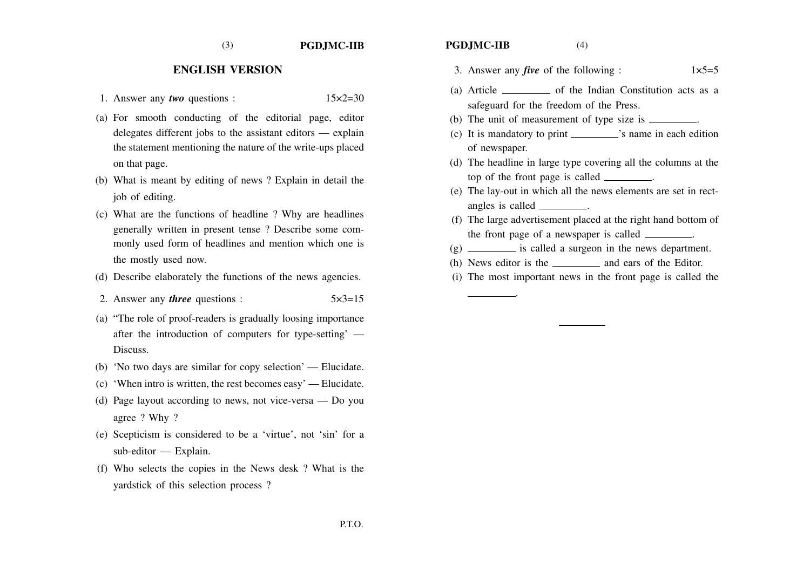#### **ENGLISH VERSION**

- 1. Answer any *two* questions : 15×2=30
- (a) For smooth conducting of the editorial page, editor delegates different jobs to the assistant editors — explain the statement mentioning the nature of the write-ups placed on that page.
- (b) What is meant by editing of news ? Explain in detail the job of editing.
- (c) What are the functions of headline ? Why are headlines generally written in present tense ? Describe some commonly used form of headlines and mention which one is the mostly used now.
- (d) Describe elaborately the functions of the news agencies.
- 2. Answer any *three* questions : 5x3=15
- (a) "The role of proof-readers is gradually loosing importance after the introduction of computers for type-setting' — Discuss.
- (b) 'No two days are similar for copy selection' Elucidate.
- (c) 'When intro is written, the rest becomes easy' Elucidate.
- (d) Page layout according to news, not vice-versa Do you agree ? Why ?
- (e) Scepticism is considered to be a 'virtue', not 'sin' for a sub-editor — Explain.
- (f) Who selects the copies in the News desk ? What is the yardstick of this selection process ?

- 3. Answer any *five* of the following :  $1 \times 5=5$
- (a) Article  $\frac{1}{\sqrt{1-\frac{1}{\sqrt{1-\frac{1}{\sqrt{1-\frac{1}{\sqrt{1-\frac{1}{\sqrt{1-\frac{1}{\sqrt{1-\frac{1}{\sqrt{1-\frac{1}{\sqrt{1-\frac{1}{\sqrt{1-\frac{1}{\sqrt{1-\frac{1}{\sqrt{1-\frac{1}{\sqrt{1-\frac{1}{\sqrt{1-\frac{1}{\sqrt{1-\frac{1}{\sqrt{1-\frac{1}{\sqrt{1-\frac{1}{\sqrt{1-\frac{1}{\sqrt{1-\frac{1}{\sqrt{1-\frac{1}{\sqrt{1-\frac{1}{\sqrt{1-\frac{1}{\sqrt{1-\frac{1}{\sqrt{1-\$ safeguard for the freedom of the Press.
- (b) The unit of measurement of type size is \_\_\_\_\_\_\_\_.
- $(c)$  It is mandatory to print  $\frac{\ }{\ }$ 's name in each edition of newspaper.
- (d) The headline in large type covering all the columns at the top of the front page is called .
- (e) The lay-out in which all the news elements are set in rectangles is called .
- (f) The large advertisement placed at the right hand bottom of the front page of a newspaper is called \_\_\_\_\_\_\_\_.
- $(g)$  is called a surgeon in the news department.
- (h) News editor is the \_\_\_\_\_\_\_\_\_\_\_ and ears of the Editor.
- (i) The most important news in the front page is called the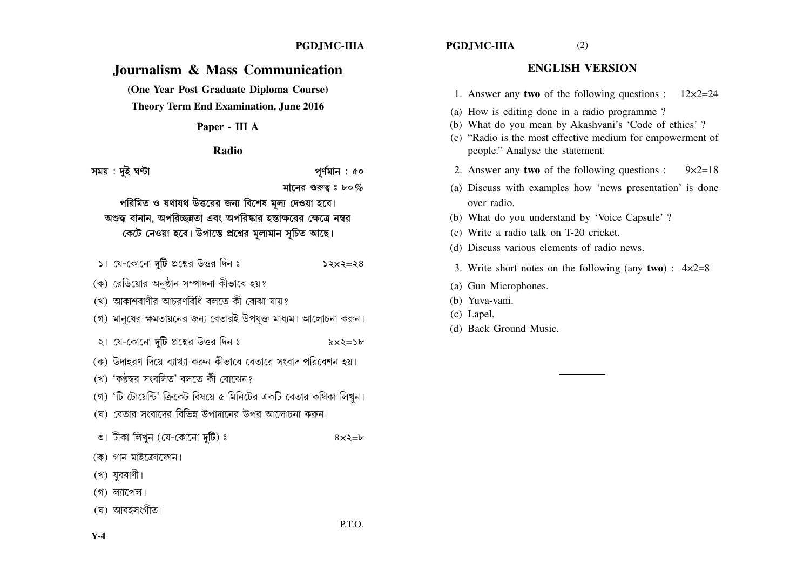#### **PGD.IMC-IIIA**

#### **PGDJMC-IIIA**

# $(2)$

# **Journalism & Mass Communication**

(One Year Post Graduate Diploma Course)

**Theory Term End Examination, June 2016** 

Paper - III A

Radio

সময়: দুই ঘণ্টা

পৰ্ণমান : ৫০ মানের গুরুত্ব ঃ ৮০ $\%$ 

পরিমিত ও যথাযথ উত্তরের জন্য বিশেষ মল্য দেওয়া হবে। অশুদ্ধ বানান, অপরিচ্ছন্নতা এবং অপরিষ্কার হস্তাক্ষরের ক্ষেত্রে নম্বর কেটে নেওয়া হবে। উপান্তে প্রশ্নের মূল্যমান সূচিত আছে।

১। যে-কোনো **দটি** প্রশ্নের উত্তর দিন ঃ  $52x2=28$ 

(ক) রেডিয়োর অনষ্ঠান সম্পাদনা কীভাবে হয়?

(খ) আকাশবাণীর আচরণবিধি বলতে কী বোঝা যায়?

(গ) মানুষের ক্ষমতায়নের জন্য বেতারই উপযুক্ত মাধ্যম। আলোচনা করুন।

- ২। যে-কোনো **দটি** প্রশ্নের উত্তর দিন ঃ ৯ $xz = 5b$
- (ক) উদাহরণ দিয়ে ব্যাখ্যা করুন কীভাবে বেতারে সংবাদ পরিবেশন হয়।
- (খ) 'কণ্ঠস্বর সংবলিত' বলতে কী বোঝেন?
- (গ) 'টি টোয়েন্টি' ক্রিকেট বিষয়ে ৫ মিনিটের একটি বেতার কথিকা লিখন।
- (ঘ) বেতার সংবাদের বিভিন্ন উপাদানের উপর আলোচনা করুন।
- ৩। টীকা লিখন (যে-কোনো **দটি**) ঃ

 $8x3=b$ 

- (ক) গান মাইক্রোফোন।
- (খ) যুববাণী।
- $($ গ) ল্যাপেল |
- (ঘ) আবহসংগীত।

P.T.O.

#### **ENGLISH VERSION**

- 1. Answer any **two** of the following questions :  $12 \times 2 = 24$
- (a) How is editing done in a radio programme?
- (b) What do you mean by Akashvani's 'Code of ethics'?
- (c) "Radio is the most effective medium for empowerment of people." Analyse the statement.
- 2. Answer any two of the following questions:  $9 \times 2 = 18$
- (a) Discuss with examples how 'news presentation' is done over radio.
- (b) What do you understand by 'Voice Capsule'?
- (c) Write a radio talk on T-20 cricket.
- (d) Discuss various elements of radio news.
- 3. Write short notes on the following (any **two**) :  $4 \times 2 = 8$
- (a) Gun Microphones.
- (b) Yuva-vani.
- $(c)$  Lapel.
- (d) Back Ground Music.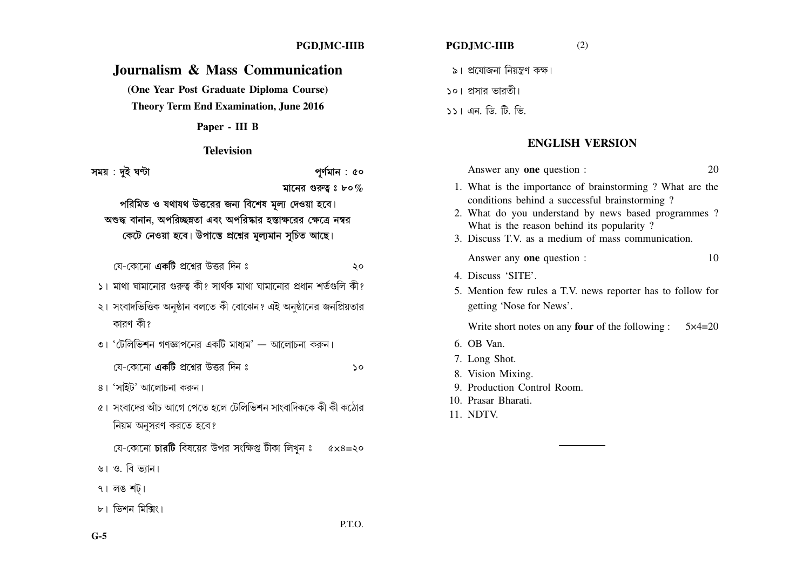|                                                                                                                                                                                                                               | <b>PGDJMC-IIIB</b>                       | <b>PGDJMC-IIIB</b><br>(2)                                                                                                                                                                                                                                                                                |               |
|-------------------------------------------------------------------------------------------------------------------------------------------------------------------------------------------------------------------------------|------------------------------------------|----------------------------------------------------------------------------------------------------------------------------------------------------------------------------------------------------------------------------------------------------------------------------------------------------------|---------------|
| Journalism & Mass Communication                                                                                                                                                                                               |                                          | ৯। প্রযোজনা নিয়ন্ত্রণ কক্ষ।                                                                                                                                                                                                                                                                             |               |
| (One Year Post Graduate Diploma Course)<br><b>Theory Term End Examination, June 2016</b>                                                                                                                                      |                                          | ১০। প্রসার ভারতী।<br>১১। এন. ডি. টি. ভি.                                                                                                                                                                                                                                                                 |               |
| Paper - III B<br><b>Television</b>                                                                                                                                                                                            |                                          | <b>ENGLISH VERSION</b>                                                                                                                                                                                                                                                                                   |               |
| সময়: দুই ঘণ্টা<br>পরিমিত ও যথাযথ উত্তরের জন্য বিশেষ মূল্য দেওয়া হবে।<br>অশুদ্ধ বানান, অপরিচ্ছন্নতা এবং অপরিষ্কার হস্তাক্ষরের ক্ষেত্রে নম্বর<br>কেটে নেওয়া হবে। উপান্তে প্রশ্নের মূল্যমান সূচিত আছে।                        | পূর্ণমান : ৫০<br>মানের গুরুত্ব ঃ ৮০ $\%$ | Answer any <b>one</b> question :<br>1. What is the importance of brainstorming ? What are the<br>conditions behind a successful brainstorming?<br>2. What do you understand by news based programmes?<br>What is the reason behind its popularity?<br>3. Discuss T.V. as a medium of mass communication. | 20            |
| যে-কোনো <b>একটি</b> প্রশ্নের উত্তর দিন ঃ<br>১। মাথা ঘামানোর গুরুত্ব কী? সার্থক মাথা ঘামানোর প্রধান শর্তগুলি কী?<br>২। সংবাদভিত্তিক অনুষ্ঠান বলতে কী বোঝেন? এই অনুষ্ঠানের জনপ্রিয়তার                                          | ২০                                       | Answer any <b>one</b> question :<br>4. Discuss 'SITE'.<br>5. Mention few rules a T.V. news reporter has to follow for<br>getting 'Nose for News'.                                                                                                                                                        | 10            |
| কারণ কী?<br>৩। 'টেলিভিশন গণজ্ঞাপনের একটি মাধ্যম' — আলোচনা করুন।<br>যে-কোনো <b>একটি</b> প্রশ্নের উত্তর দিন ঃ<br>৪। 'সাইট' আলোচনা করুন।<br>৫। সংবাদের আঁচ আগে পেতে হলে টেলিভিশন সাংবাদিককে কী কী কঠোর<br>নিয়ম অনুসরণ করতে হবে? | ১০                                       | Write short notes on any <b>four</b> of the following :<br>6. OB Van.<br>7. Long Shot.<br>8. Vision Mixing.<br>9. Production Control Room.<br>10. Prasar Bharati.<br>11. NDTV.                                                                                                                           | $5\times4=20$ |
| যে-কোনো <b>চারটি</b> বিষয়ের উপর সংক্ষিপ্ত টীকা লিখুন ঃ                                                                                                                                                                       | $&x8=&0$                                 |                                                                                                                                                                                                                                                                                                          |               |

৬। ও. বি ভ্যান।

- ৭। লঙ $\frac{1}{2}$ ।
- ৮। ভিশন মিক্সিং।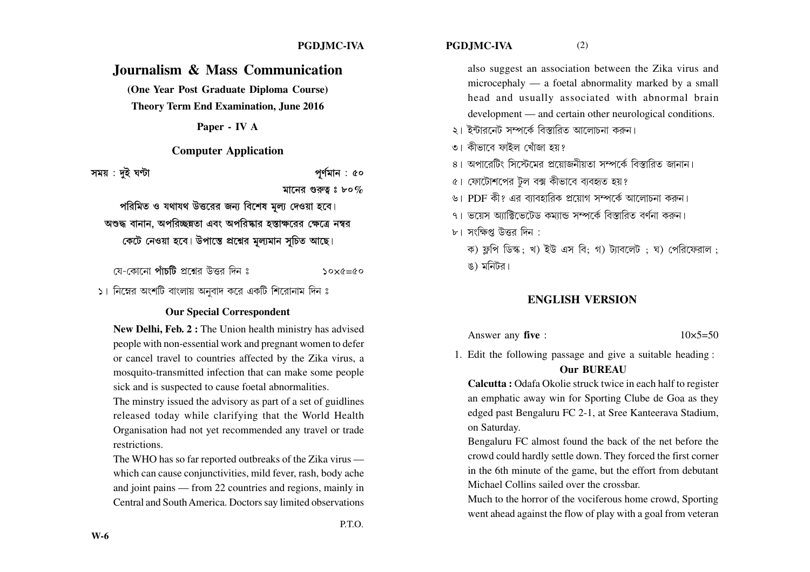#### **PGD.IMC-IVA**

 $(2)$ 

also suggest an association between the Zika virus and microcephaly  $\frac{1}{2}$  a foetal abnormality marked by a small head and usually associated with abnormal brain development — and certain other neurological conditions.

- ২। ইন্টারনেট সম্পর্কে বিস্তারিত আলোচনা করুন।
- ৩। কীভাবে ফাইল খোঁজা হয়?
- ৪। অপারেটিং সিস্টেমের প্রয়োজনীয়তা সম্পর্কে বিস্তারিত জানান।
- ৫। ফোটোশপের টল বক্স কীভাবে ব্যবহৃত হয়?
- ৬। PDF কী? এর ব্যাবহারিক প্রয়োগ সম্পর্কে আলোচনা করুন।
- ৭। ভয়েস আক্সিভেটেড কমান্ড সম্পর্কে বিস্তাবিত বর্ণনা করুন।
- $\mathbf{b}$ । সংক্ষিপ্ত উত্তর দিন  $\cdot$

ক) ফ্রপি ডিস্ক: খ) ইউ এস বি: গ) ট্যাবলেট : ঘ) পেরিফেরাল : ঙ) মনিটর।

#### **ENGLISH VERSION**

Answer any five :

 $10\times 5=50$ 

1. Edit the following passage and give a suitable heading:

#### **Our BUREAU**

Calcutta: Odafa Okolie struck twice in each half to register an emphatic away win for Sporting Clube de Goa as they edged past Bengaluru FC 2-1, at Sree Kanteerava Stadium, on Saturday.

Bengaluru FC almost found the back of the net before the crowd could hardly settle down. They forced the first corner in the 6th minute of the game, but the effort from debutant Michael Collins sailed over the crossbar.

Much to the horror of the vociferous home crowd, Sporting went ahead against the flow of play with a goal from veteran

**Journalism & Mass Communication** 

(One Year Post Graduate Diploma Course) **Theory Term End Examination, June 2016** 

Paper - IV A

**Computer Application** 

সময়: দুই ঘণ্টা

মানের গুরুত্ব ঃ ৮০%

পর্ণমান : ৫০

পরিমিত ও যথাযথ উত্তরের জন্য বিশেষ মল্য দেওয়া হবে। অশুদ্ধ বানান, অপরিচ্ছন্নতা এবং অপরিষ্কার হস্তাক্ষরের ক্ষেত্রে নম্বর কেটে নেওয়া হবে। উপান্তে প্রশ্নের মূল্যমান সূচিত আছে।

য়ে-কোনো **পাঁচটি** প্রশ্নের উত্তর দিন ঃ

 $50x6=60$ 

১। নিম্নের অংশটি বাংলায় অনবাদ করে একটি শিরোনাম দিন ঃ

#### **Our Special Correspondent**

New Delhi, Feb. 2: The Union health ministry has advised people with non-essential work and pregnant women to defer or cancel travel to countries affected by the Zika virus, a mosquito-transmitted infection that can make some people sick and is suspected to cause foetal abnormalities.

The minstry issued the advisory as part of a set of guidlines released today while clarifying that the World Health Organisation had not yet recommended any travel or trade restrictions.

The WHO has so far reported outbreaks of the Zika virus which can cause conjunctivities, mild fever, rash, body ache and joint pains — from 22 countries and regions, mainly in Central and South America. Doctors say limited observations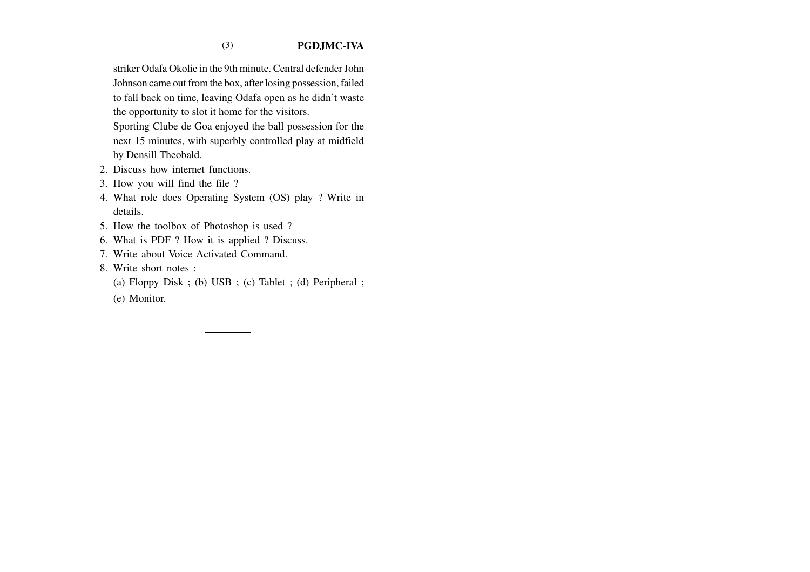#### (3) **PGDJMC-IVA**

striker Odafa Okolie in the 9th minute. Central defender John Johnson came out from the box, after losing possession, failed to fall back on time, leaving Odafa open as he didn't waste the opportunity to slot it home for the visitors.

Sporting Clube de Goa enjoyed the ball possession for the next 15 minutes, with superbly controlled play at midfield by Densill Theobald.

- 2. Discuss how internet functions.
- 3. How you will find the file ?
- 4. What role does Operating System (OS) play ? Write in details.
- 5. How the toolbox of Photoshop is used ?
- 6. What is PDF ? How it is applied ? Discuss.
- 7. Write about Voice Activated Command.
- 8. Write short notes :
	- (a) Floppy Disk ; (b) USB ; (c) Tablet ; (d) Peripheral ;
	- (e) Monitor.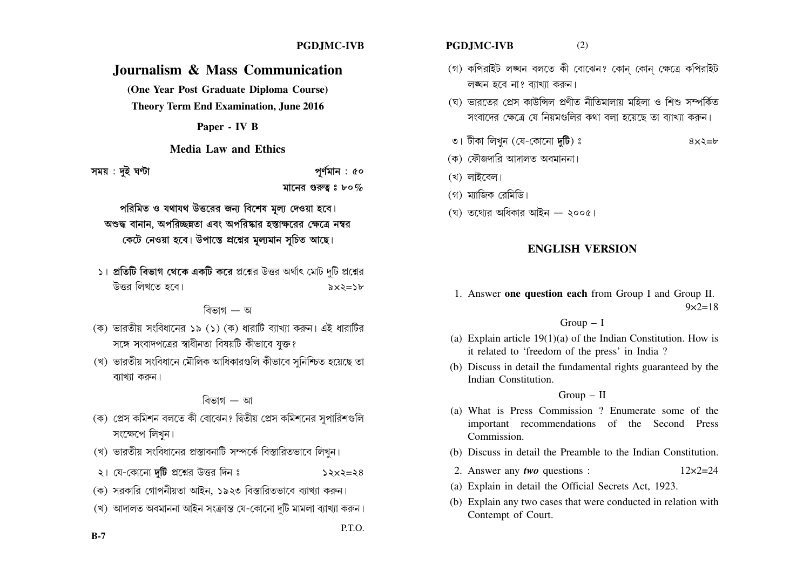### **Journalism & Mass Communication**

(One Year Post Graduate Diploma Course)

**Theory Term End Examination, June 2016** 

Paper - IV B

**Media Law and Ethics** 

সময়: দুই ঘণ্টা পর্ণমান : ৫০ মানের গুরুত্ব ঃ ৮০%

পরিমিত ও যথাযথ উত্তরের জন্য বিশেষ মূল্য দেওয়া হবে। অশুদ্ধ বানান, অপরিচ্ছন্নতা এবং অপরিষ্কার হস্তাক্ষরের ক্ষেত্রে নম্বর কেটে নেওয়া হবে। উপান্তে প্রশ্নের মূল্যমান সূচিত আছে।

১। প্রতিটি বিভাগ থেকে একটি করে প্রশ্নের উত্তর অর্থাৎ মোট দটি প্রশ্নের উত্তর লিখতে হবে। ৯ $xz = 5b$ 

বিভাগ — অ

- (ক) ভারতীয় সংবিধানের ১৯ (১) (ক) ধারাটি ব্যাখ্যা করুন। এই ধারাটির সঙ্গে সংবাদপত্রের স্বাধীনতা বিষয়টি কীভাবে যুক্ত?
- (খ) ভারতীয় সংবিধানে মৌলিক আধিকারগুলি কীভাবে সনিশ্চিত হয়েছে তা ব্যাখ্যা করুন।

#### বিভাগ — আ

- (ক) প্রেস কমিশন বলতে কী বোঝেন? দ্বিতীয় প্রেস কমিশনের সপারিশগুলি সংক্ষেপে লিখন।
- (খ) ভারতীয় সংবিধানের প্রস্তাবনাটি সম্পর্কে বিস্তারিতভাবে লিখুন।
- ২। যে-কোনো দটি প্রশ্নের উত্তর দিন ঃ
- (ক) সরকারি গোপনীয়তা আইন, ১৯২৩ বিস্তারিতভাবে ব্যাখ্যা করুন।
- (খ) আদালত অবমাননা আইন সংক্রান্ত যে-কোনো দটি মামলা ব্যাখ্যা করুন।

(গ) কপিরাইট লঙ্ঘন বলতে কী বোঝেন? কোন কোন ক্ষেত্রে কপিরাইট লঙ্ঘন হবে না? ব্যাখ্যা করুন।

 $(2)$ 

- (ঘ) ভারতের প্রেস কাউন্সিল প্রণীত নীতিমালায় মহিলা ও শিশু সম্পর্কিত সংবাদের ক্ষেত্রে যে নিয়মগুলির কথা বলা হয়েছে তা ব্যাখ্যা করুন।
- ৩। টীকা লিখুন (যে-কোনো **দুটি**) ঃ  $8x=5$
- (ক) ফৌজদারি আদালত অবমাননা।
- (খ) লাইবেল।
- (গ) মাজিক রেমিডি।
- (ঘ) তথোর অধিকার আইন ২০০৫।

#### **ENGLISH VERSION**

1. Answer one question each from Group I and Group II.  $9 \times 2 = 18$ 

#### $Group-I$

- (a) Explain article  $19(1)(a)$  of the Indian Constitution. How is it related to 'freedom of the press' in India?
- (b) Discuss in detail the fundamental rights guaranteed by the Indian Constitution.

#### $Group-II$

- (a) What is Press Commission  $\sqrt{2}$  Enumerate some of the important recommendations of the Second Press Commission.
- (b) Discuss in detail the Preamble to the Indian Constitution.
- 2. Answer any two questions :  $12 \times 2 = 24$
- (a) Explain in detail the Official Secrets Act, 1923.
- (b) Explain any two cases that were conducted in relation with Contempt of Court.

 $52x2=28$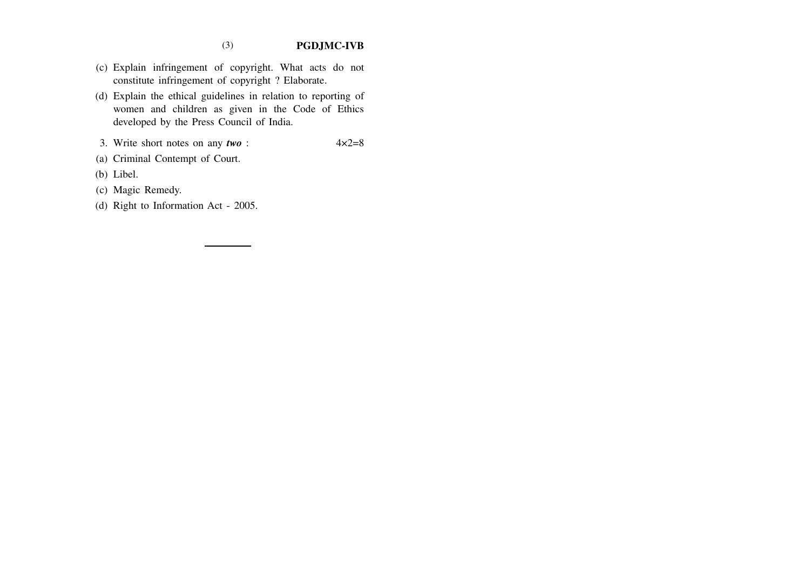#### (3) **PGDJMC-IVB**

- (c) Explain infringement of copyright. What acts do not constitute infringement of copyright ? Elaborate.
- (d) Explain the ethical guidelines in relation to reporting of women and children as given in the Code of Ethics developed by the Press Council of India.
- 3. Write short notes on any *two* : 4×2=8
- (a) Criminal Contempt of Court.
- (b) Libel.
- (c) Magic Remedy.
- (d) Right to Information Act 2005.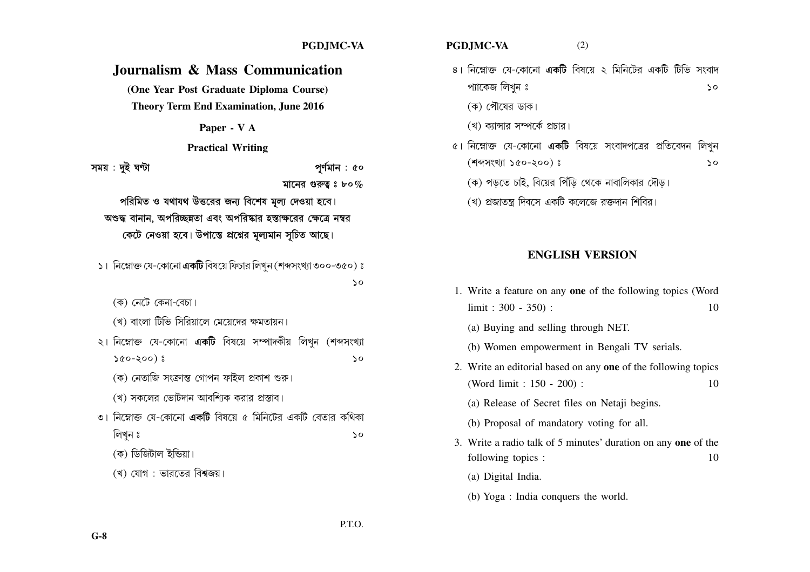### **Journalism & Mass Communication**

(One Year Post Graduate Diploma Course) **Theory Term End Examination, June 2016** 

Paper - V A

**Practical Writing** 

সময়: দুই ঘণ্টা

পৰ্ণমান : ৫০ মানের গুরুত্ব ঃ ৮০ $\%$ 

পরিমিত ও যথাযথ উত্তরের জন্য বিশেষ মূল্য দেওয়া হবে। অশুদ্ধ বানান, অপরিচ্ছন্নতা এবং অপরিষ্কার হস্তাক্ষরের ক্ষেত্রে নম্বর কেটে নেওয়া হবে। উপান্তে প্রশ্নের মূল্যমান সূচিত আছে।

১। নিম্নোক্ত যে-কোনো **একটি** বিষয়ে ফিচার লিখন (শব্দসংখ্যা ৩০০-৩৫০) ঃ  $\mathsf{S}$ 

(ক) নেটে কেনা-বেচা।

(খ) বাংলা টিভি সিরিয়ালে মেয়েদের ক্ষমতায়ন।

- ২। নিম্নোক্ত যে-কোনো **একটি** বিষয়ে সম্পাদকীয় লিখন (শব্দসংখ্যা  $200-200$  $\mathsf{S}$ 
	- (ক) নেতাজি সংক্রান্ত গোপন ফাইল প্রকাশ শুরু।

(খ) সকলের ভোটদান আবশিকে করার প্রস্তাব।

- ৩। নিম্নোক্ত যে-কোনো **একটি** বিষয়ে ৫ মিনিটের একটি বেতার কথিকা লিখন ঃ  $50$ 
	- (ক) ডিজিটাল ইন্ডিয়া।
	- (খ) যোগ : ভারতের বিশ্বজয়।

#### **PGDJMC-VA**  $(2)$

- ৪। নিম্নোক্ত যে-কোনো **একটি** বিষয়ে ২ মিনিটের একটি টিভি সংবাদ প্যাকেজ লিখন ঃ  $\mathcal{L}$ 
	- (ক) পৌষের ডাক।
	- (খ) কাান্সার সম্পর্কে প্রচার।
- ৫। নিম্নোক্ত যে-কোনো **একটি** বিষয়ে সংবাদপত্রের প্রতিবেদন লিখন (गकमश्थाा ১৫০-২০০) :  $\mathcal{L}$ 
	- (ক) পড়তে চাই, বিয়ের পিঁড়ি থেকে নাবালিকার দৌড।
	- (খ) প্রজাতন্ত্র দিবসে একটি কলেজে রক্তদান শিবির।

#### **ENGLISH VERSION**

- 1. Write a feature on any one of the following topics (Word  $limit: 300 - 350$ : 10
	- (a) Buying and selling through NET.
	- (b) Women empowerment in Bengali TV serials.
- 2. Write an editorial based on any one of the following topics (Word limit: 150 - 200):  $10$ 
	- (a) Release of Secret files on Netaji begins.

(b) Proposal of mandatory voting for all.

- 3. Write a radio talk of 5 minutes' duration on any one of the following topics : 10
	- (a) Digital India.
	- (b) Yoga : India conquers the world.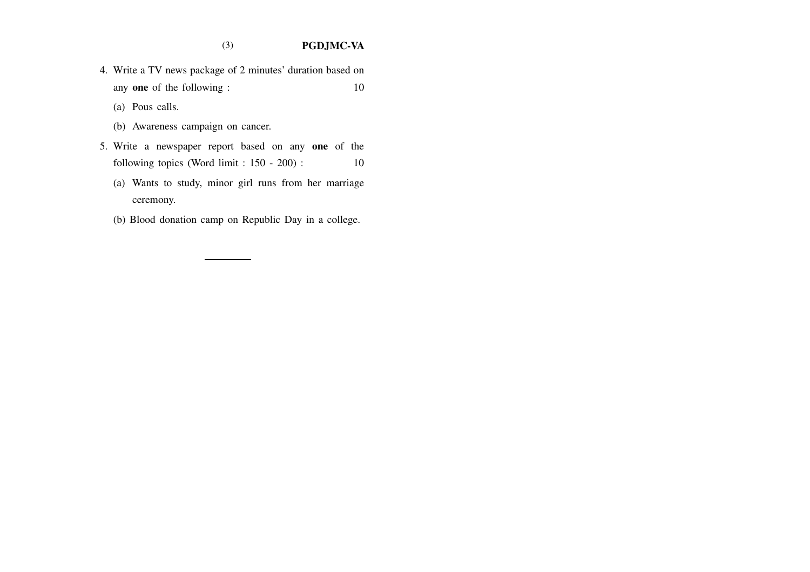#### (3) **PGDJMC-VA**

- 4. Write a TV news package of 2 minutes' duration based on any **one** of the following : 10
	- (a) Pous calls.
	- (b) Awareness campaign on cancer.
- 5. Write a newspaper report based on any **one** of the following topics (Word limit :  $150 - 200$ ) : 10
	- (a) Wants to study, minor girl runs from her marriage ceremony.
	- (b) Blood donation camp on Republic Day in a college.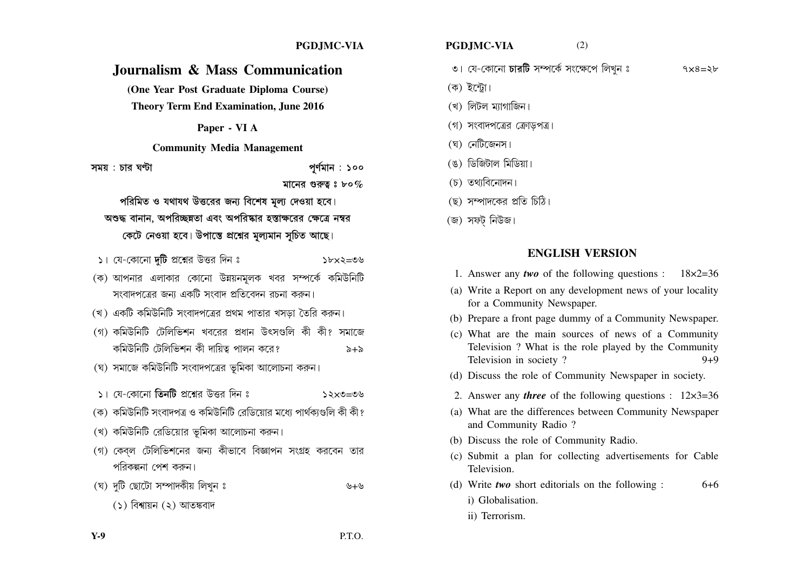#### **PGDJMC-VIA**

 $9x8=56$ 

৩। যে-কোনো চারটি সম্পর্কে সংক্ষেপে লিখন ঃ

(ক) ইন্ট্রো।

- (খ) লিটল মাাগাজিন।
- (গ) সংবাদপত্রের ক্রোড়পত্র।
- (ঘ) নেটিজেনস।
- (ঙ) ডিজিটাল মিডিয়া।
- (চ) তথ্যবিনোদন।
- (ছ) সম্পাদকের প্রতি চিঠি।
- (জ) সফট নিউজ।

#### **ENGLISH VERSION**

- 1. Answer any *two* of the following questions :  $18 \times 2 = 36$
- (a) Write a Report on any development news of your locality for a Community Newspaper.
- (b) Prepare a front page dummy of a Community Newspaper.
- (c) What are the main sources of news of a Community Television ? What is the role played by the Community Television in society?  $9 + 9$
- (d) Discuss the role of Community Newspaper in society.
- 2. Answer any *three* of the following questions :  $12 \times 3 = 36$
- (a) What are the differences between Community Newspaper and Community Radio?
- (b) Discuss the role of Community Radio.
- (c) Submit a plan for collecting advertisements for Cable Television.
- (d) Write *two* short editorials on the following :  $6 + 6$ i) Globalisation.
	- ii) Terrorism.

**Journalism & Mass Communication** 

(One Year Post Graduate Diploma Course) **Theory Term End Examination, June 2016** 

Paper - VI A

**Community Media Management** 

সময়: চার ঘণ্টা

পৰ্ণমান : ১০০ মানের গুরুত্ব ঃ ৮০ $\%$ 

পরিমিত ও যথাযথ উত্তরের জন্য বিশেষ মূল্য দেওয়া হবে।

## অশুদ্ধ বানান, অপরিচ্ছন্নতা এবং অপরিষ্কার হস্তাক্ষরের ক্ষেত্রে নম্বর কেটে নেওয়া হবে। উপান্তে প্রশ্নের মূল্যমান সচিত আছে।

- ১। যে-কোনো দুটি প্রশ্নের উত্তর দিন ঃ ১৮x২=৩৬
- (ক) আপনার এলাকার কোনো উন্নয়নমূলক খবর সম্পর্কে কমিউনিটি সংবাদপত্রের জন্য একটি সংবাদ প্রতিবেদন রচনা করুন।
- (খ) একটি কমিউনিটি সংবাদপত্রের প্রথম পাতার খসডা তৈরি করুন।
- (গ) কমিউনিটি টেলিভিশন খবরের প্রধান উৎসগুলি কী কী? সমাজে কমিউনিটি টেলিভিশন কী দায়িত পালন করে?  $\lambda + \lambda$
- (ঘ) সমাজে কমিউনিটি সংবাদপত্রের ভূমিকা আলোচনা করুন।
- ১। যে-কোনো **তিনটি** প্রশ্নের উত্তর দিন ঃ  $90 = 2 \times 5$
- (ক) কমিউনিটি সংবাদপত্র ও কমিউনিটি রেডিয়োর মধ্যে পার্থকাগুলি কী কী?
- (খ) কমিউনিটি রেডিয়োর ভূমিকা আলোচনা করুন।
- (গ) কেবল টেলিভিশনের জন্য কীভাবে বিজ্ঞাপন সংগ্রহ করবেন তার পরিকল্পনা পেশ করুন।
- (ঘ) দুটি ছোটো সম্পাদকীয় লিখন ঃ ৬+৬
	- (১) বিশ্বায়ন (২) আতঙ্কবাদ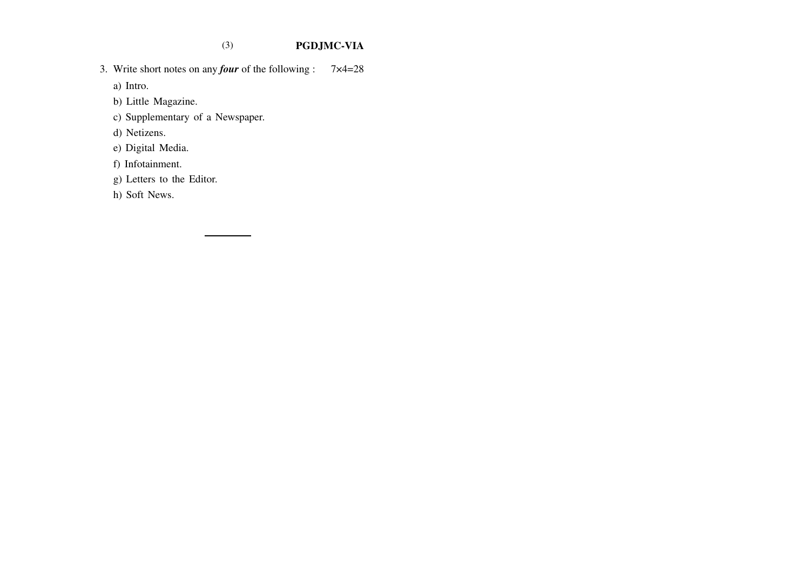#### (3) **PGDJMC-VIA**

3. Write short notes on any *four* of the following : 7×4=28

a) Intro.

b) Little Magazine.

c) Supplementary of a Newspaper.

d) Netizens.

e) Digital Media.

f) Infotainment.

g) Letters to the Editor.

h) Soft News.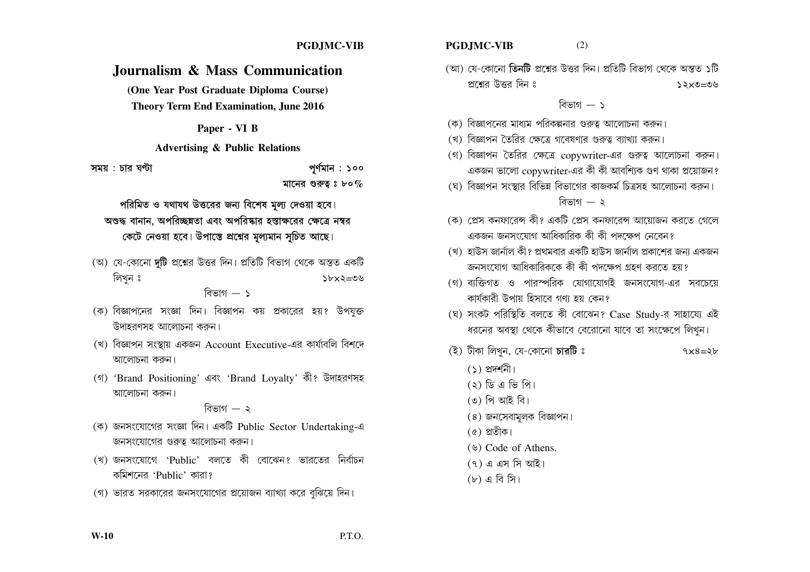### Journalism & Mass Communication

(One Year Post Graduate Diploma Course) **Theory Term End Examination, June 2016** 

Paper - VI B

**Advertising & Public Relations** 

সময়: চার ঘণ্টা

পৰ্ণমান : ১০০ মানের গুরুত্ব ঃ ৮০ $\%$ 

### পরিমিত ও যথাযথ উত্তরের জন্য বিশেষ মূল্য দেওয়া হবে। অশুদ্ধ বানান, অপরিচ্ছন্নতা এবং অপরিষ্কার হস্তাক্ষরের ক্ষেত্রে নম্বর কেটে নেওয়া হবে। উপান্তে প্রশ্নের মূল্যমান সূচিত আছে।

(অ) যে-কোনো **দুটি** প্রশ্নের উত্তর দিন। প্রতিটি বিভাগ থেকে অন্তত একটি লিখন ঃ  $90 = 5 \times 16$ 

#### বিভাগ  $-$  ১

- (ক) বিজ্ঞাপনের সংজ্ঞা দিন। বিজ্ঞাপন কয় প্রকারের হয়? উপযক্ত উদাহরণসহ আলোচনা করুন।
- (খ) বিজ্ঞাপন সংস্থায় একজন Account Executive-এর কার্যাবলি বিশদে আলোচনা করুন।
- (গ) 'Brand Positioning' এবং 'Brand Loyalty' কী? উদাহরণসহ আলোচনা করুন।

বিভাগ — ২

- (ক) জনসংযোগের সংজ্ঞা দিন। একটি Public Sector Undertaking-এ জনসংযোগের গুরুত্ব আলোচনা করুন।
- (খ) জনসংযোগে 'Public' বলতে কী বোঝেন? ভারতের নির্বাচন কমিশনের 'Public' কারা?
- (গ) ভারত সরকারের জনসংযোগের প্রয়োজন ব্যাখ্যা করে বুঝিয়ে দিন।

#### $(2)$ **PGDJMC-VIB**

(আ) যে-কোনো **তিনটি** প্রশ্নের উত্তর দিন। প্রতিটি বিভাগ থেকে অন্তত ১টি প্রশ্নের উত্তর দিন ঃ  $90 = 2 \times 52$ 

বিভাগ – ১

- (ক) বিজ্ঞাপনের মাধ্যম পরিকল্পনার গুরুত্ব আলোচনা করুন।
- (খ) বিজ্ঞাপন তৈরির ক্ষেত্রে গবেষণার গুরুত্ব ব্যাখ্যা করুন।
- (গ) বিজ্ঞাপন তৈরির ক্ষেত্রে copywriter-এর গুরুত্ব আলোচনা করুন। একজন ভালো copywriter-এর কী কী আবশ্যিক গুণ থাকা প্রয়োজন?
- (ঘ) বিজ্ঞাপন সংস্থার বিভিন্ন বিভাগের কাজকর্ম চিত্রসহ আলোচনা করুন। বিভাগ – ২
- (ক) প্রেস কনফারেন্স কী? একটি প্রেস কনফারেন্স আয়োজন করতে গেলে একজন জনসংযোগ আধিকারিক কী কী পদক্ষেপ নেবেন?
- (খ) হাউস জার্নাল কী? প্রথমবার একটি হাউস জার্নাল প্রকাশের জন্য একজন জনসংযোগ আধিকারিককে কী কী পদক্ষেপ গ্রহণ করতে হয়?
- (গ) বাক্তিগত ও পারস্পরিক যোগাযোগই জনসংযোগ-এর সবচেয়ে কার্যকারী উপায় হিসাবে গণ্য হয় কেন?
- (ঘ) সংকট পরিস্থিতি বলতে কী বোঝেন? Case Study-র সাহায্যে এই ধরনের অবস্থা থেকে কীভাবে বেরোনো যাবে তা সংক্ষেপে লিখন।
- (ই) টীকা লিখন, যে-কোনো চারটি ঃ  $9x8=56$ 
	- $(5)$  প্ৰদৰ্শনী।
	- $(5)$  ডি এ ভি পি।
	- (৩) পি আই বি।
	- (৪) জনসেবামূলক বিজ্ঞাপন।
	- $($ ৫) প্ৰতীক।
	- $(\mathcal{Y})$  Code of Athens.
	- (৭) এ এস সি আই।
	- $(b)$  এ বি সি।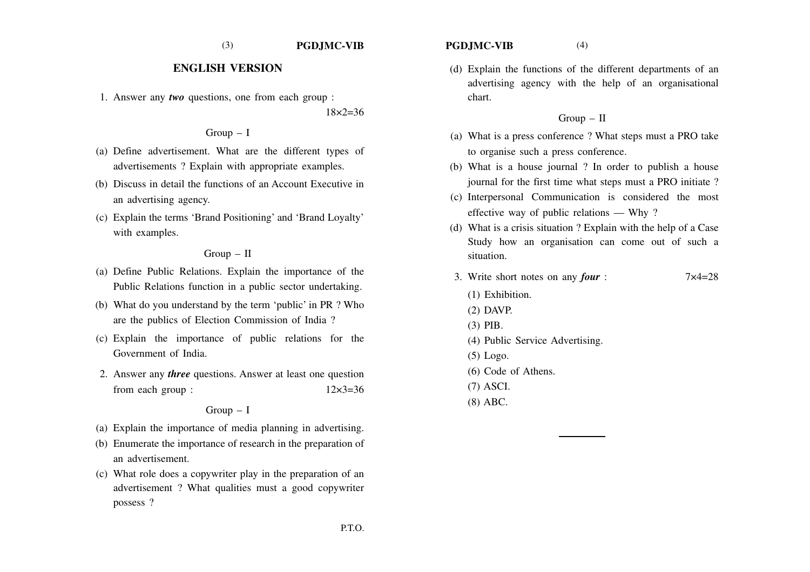(3) **PGDJMC-VIB PGDJMC-VIB** (4)

#### **ENGLISH VERSION**

1. Answer any *two* questions, one from each group :  $18 \times 2 = 36$ 

#### Group – I

- (a) Define advertisement. What are the different types of advertisements ? Explain with appropriate examples.
- (b) Discuss in detail the functions of an Account Executive in an advertising agency.
- (c) Explain the terms 'Brand Positioning' and 'Brand Loyalty' with examples.

#### Group – II

- (a) Define Public Relations. Explain the importance of the Public Relations function in a public sector undertaking.
- (b) What do you understand by the term 'public' in PR ? Who are the publics of Election Commission of India ?
- (c) Explain the importance of public relations for the Government of India.
- 2. Answer any *three* questions. Answer at least one question from each group :  $12 \times 3 = 36$

#### Group – I

- (a) Explain the importance of media planning in advertising.
- (b) Enumerate the importance of research in the preparation of an advertisement.
- (c) What role does a copywriter play in the preparation of an advertisement ? What qualities must a good copywriter possess ?

(d) Explain the functions of the different departments of an advertising agency with the help of an organisational chart.

#### Group – II

- (a) What is a press conference ? What steps must a PRO take to organise such a press conference.
- (b) What is a house journal ? In order to publish a house journal for the first time what steps must a PRO initiate ?
- (c) Interpersonal Communication is considered the most effective way of public relations — Why ?
- (d) What is a crisis situation ? Explain with the help of a Case Study how an organisation can come out of such a situation.
- 3. Write short notes on any *four* : 7×4=28
	- (1) Exhibition.
	- (2) DAVP.
	- (3) PIB.
	- (4) Public Service Advertising.
	- (5) Logo.
	- (6) Code of Athens.
	- (7) ASCI.
	- (8) ABC.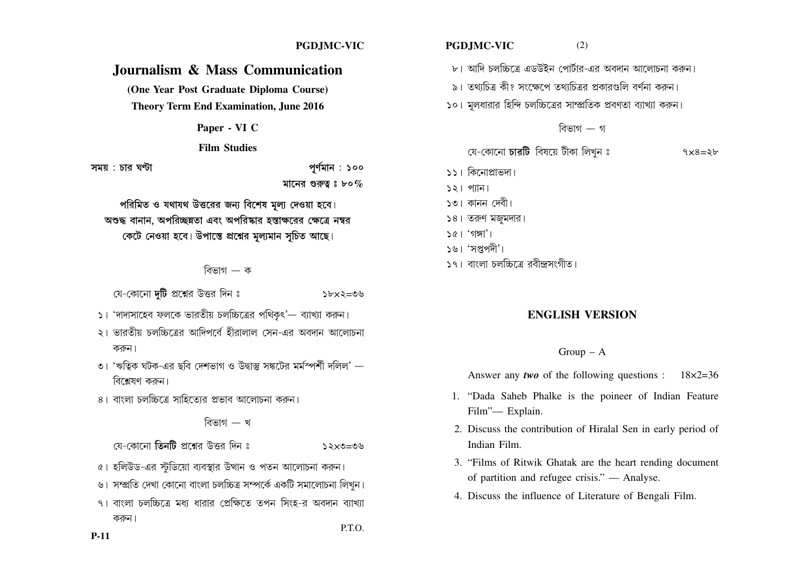#### **PGDJMC-VIC**

#### **Journalism & Mass Communication**

(One Year Post Graduate Diploma Course) **Theory Term End Examination, June 2016** 

Paper - VI C

**Film Studies** 

সময়: চার ঘণ্টা

পৰ্ণমান : ১০০ মানের গুরুত্ব ঃ ৮০ $\%$ 

পরিমিত ও যথাযথ উত্তরের জন্য বিশেষ মূল্য দেওয়া হবে। অশুদ্ধ বানান, অপরিচ্ছন্নতা এবং অপরিষ্কার হস্তাক্ষরের ক্ষেত্রে নম্বর কেটে নেওয়া হবে। উপান্তে প্রশ্নের মূল্যমান সূচিত আছে।

বিভাগ — ক

যে-কোনো **দটি** প্রশ্নের উত্তর দিন ঃ  $90 = 5 \times 16$ 

- ১। 'দাদাসাহেব ফলকে ভারতীয় চলচ্চিত্রের পথিকৎ'— ব্যাখ্যা করুন।
- ২। ভারতীয় চলচ্চিত্রের আদিপর্বে হীরালাল সেন-এর অবদান আলোচনা করুন।
- ৩। 'ঋত্বিক ঘটক-এর ছবি দেশভাগ ও উদ্বাস্তু সঙ্কটের মর্মস্পর্শী দলিল' বিশ্লেষণ করুন।
- ৪। বাংলা চলচ্চিত্রে সাহিত্যের প্রভাব আলোচনা করুন।

বিভাগ — খ

যে-কোনো **তিনটি** প্রশ্নের উত্তর দিন ঃ  $90 = 0 \times 5$   $\zeta$ 

- ৫। হলিউড-এর স্টুডিয়ো ব্যবস্থার উত্থান ও পতন আলোচনা করুন।
- ৬। সম্প্রতি দেখা কোনো বাংলা চলচ্চিত্র সম্পর্কে একটি সমালোচনা লিখুন।
- ৭। বাংলা চলচ্চিত্রে মধ্য ধারার প্রেক্ষিতে তপন সিংহ-র অবদান ব্যাখ্যা করুন। P.T.O.

#### **PGDJMC-VIC**

৮। আদি চলচ্চিত্রে এডউইন পোর্টার-এর অবদান আলোচনা করুন।

 $(2)$ 

- ৯। তথাচিত্র কী? সংক্ষেপে তথ্যচিত্রর প্রকারগুলি বর্ণনা করুন।
- ১০। মলধারার হিন্দি চলচ্চিত্রের সাম্প্রতিক প্রবণতা ব্যাখ্যা করুন।

#### বিভাগ — গ

যে-কোনো **চারটি** বিষয়ে টীকা লিখন ঃ

 $9x8=5b$ 

- ১১। কিনোপ্রাভদা।
- $531$  পান।
- ১৩। কানন দেবী।
- $58$ । তরুণ মজুমদার।
- $56$ । 'গঙ্গা'।
- ১৬। 'সপ্তপদী'।
- ১৭। বাংলা চলচ্চিত্রে রবীন্দসংগীত।

#### **ENGLISH VERSION**

#### $Group - A$

Answer any *two* of the following questions :  $18 \times 2 = 36$ 

- 1. "Dada Saheb Phalke is the poineer of Indian Feature Film"- Explain.
- 2. Discuss the contribution of Hiralal Sen in early period of Indian Film.
- 3. "Films of Ritwik Ghatak are the heart rending document of partition and refugee crisis." — Analyse.
- 4. Discuss the influence of Literature of Bengali Film.